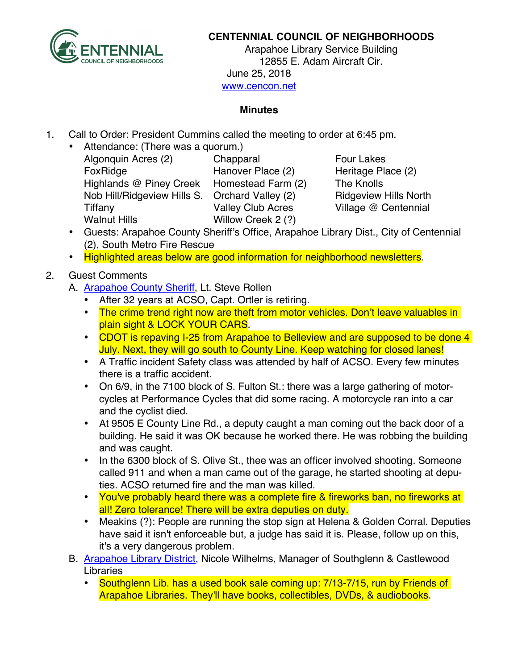

## **CENTENNIAL COUNCIL OF NEIGHBORHOODS**

Arapahoe Library Service Building 12855 E. Adam Aircraft Cir. June 25, 2018 www.cencon.net

## **Minutes**

- 1. Call to Order: President Cummins called the meeting to order at 6:45 pm.
	- Attendance: (There was a quorum.) Algonquin Acres (2) Chapparal Four Lakes FoxRidge **Hanover Place (2)** Heritage Place (2) Highlands @ Piney Creek Homestead Farm (2) The Knolls Nob Hill/Ridgeview Hills S. Orchard Valley (2) Ridgeview Hills North Tiffany Valley Club Acres Village @ Centennial Walnut Hills Willow Creek 2 (?)

- Guests: Arapahoe County Sheriff's Office, Arapahoe Library Dist., City of Centennial (2), South Metro Fire Rescue
- Highlighted areas below are good information for neighborhood newsletters.

## 2. Guest Comments

- A. [Arapahoe County Sheriff,](http://www.arapahoesheriff.org) Lt. Steve Rollen
	- After 32 years at ACSO, Capt. Ortler is retiring.
	- The crime trend right now are theft from motor vehicles. Don't leave valuables in plain sight & LOCK YOUR CARS.
	- CDOT is repaving I-25 from Arapahoe to Belleview and are supposed to be done 4 July. Next, they will go south to County Line. Keep watching for closed lanes!
	- A Traffic incident Safety class was attended by half of ACSO. Every few minutes there is a traffic accident.
	- On 6/9, in the 7100 block of S. Fulton St.: there was a large gathering of motorcycles at Performance Cycles that did some racing. A motorcycle ran into a car and the cyclist died.
	- At 9505 E County Line Rd., a deputy caught a man coming out the back door of a building. He said it was OK because he worked there. He was robbing the building and was caught.
	- In the 6300 block of S. Olive St., thee was an officer involved shooting. Someone called 911 and when a man came out of the garage, he started shooting at deputies. ACSO returned fire and the man was killed.
	- You've probably heard there was a complete fire & fireworks ban, no fireworks at all! Zero tolerance! There will be extra deputies on duty.
	- Meakins (?): People are running the stop sign at Helena & Golden Corral. Deputies have said it isn't enforceable but, a judge has said it is. Please, follow up on this, it's a very dangerous problem.
- B. [Arapahoe Library District,](http://www.arapahoelibraries.org/) Nicole Wilhelms, Manager of Southglenn & Castlewood Libraries
	- Southglenn Lib. has a used book sale coming up: 7/13-7/15, run by Friends of Arapahoe Libraries. They'll have books, collectibles, DVDs, & audiobooks.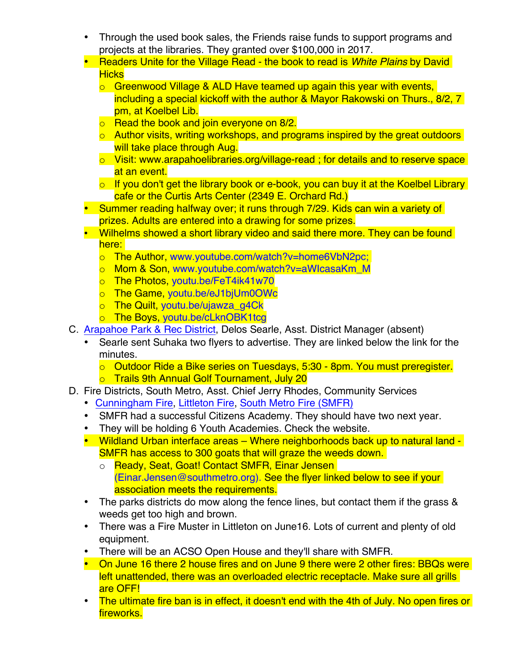- Through the used book sales, the Friends raise funds to support programs and projects at the libraries. They granted over \$100,000 in 2017.
- Readers Unite for the Village Read the book to read is *White Plains* by David Hicks
	- o Greenwood Village & ALD Have teamed up again this year with events, including a special kickoff with the author & Mayor Rakowski on Thurs., 8/2, 7 pm, at Koelbel Lib.
	- **o** Read the book and join everyone on 8/2.
	- $\circ$  Author visits, writing workshops, and programs inspired by the great outdoors will take place through Aug.
	- o Visit: www.arapahoelibraries.org/village-read ; for details and to reserve space at an event.
	- $\circ$  If you don't get the library book or e-book, you can buy it at the Koelbel Library cafe or the Curtis Arts Center (2349 E. Orchard Rd.)
- Summer reading halfway over; it runs through 7/29. Kids can win a variety of prizes. Adults are entered into a drawing for some prizes.
- Wilhelms showed a short library video and said there more. They can be found here: I
	- o The Author, www.youtube.com/watch?v=home6VbN2pc;
	- o Mom & Son, www.youtube.com/watch?v=aWIcasaKm\_M
	- o The Photos, youtu.be/FeT4ik41w70
	- o The Game, youtu.be/eJ1bjUm0OWc
	- o The Quilt, youtu.be/ujawza\_g4Ck
	- o The Boys, youtu.be/cLknOBK1tcg
- C. [Arapahoe Park & Rec District,](http://www.aprd.org) Delos Searle, Asst. District Manager (absent)
	- Searle sent Suhaka two flyers to advertise. They are linked below the link for the minutes.
		- o Outdoor Ride a Bike series on Tuesdays, 5:30 8pm. You must preregister.
		- o Trails 9th Annual Golf Tournament, July 20
- D. Fire Districts, South Metro, Asst. Chief Jerry Rhodes, Community Services
	- [Cunningham Fire](http://www.cfpd.org), [Littleton Fire](http://www.littletongov.org/fire), [South Metro Fire](http://www.southmetro.org) (SMFR)
	- SMFR had a successful Citizens Academy. They should have two next year.
	- They will be holding 6 Youth Academies. Check the website.
	- Wildland Urban interface areas Where neighborhoods back up to natural land -SMFR has access to 300 goats that will graze the weeds down.
		- o Ready, Seat, Goat! Contact SMFR, Einar Jensen [\(Einar.Jensen@southmetro.org\)](mailto:einar.jensen@southmeto.org). See the flyer linked below to see if your association meets the requirements.
	- The parks districts do mow along the fence lines, but contact them if the grass & weeds get too high and brown.
	- There was a Fire Muster in Littleton on June16. Lots of current and plenty of old equipment.
	- There will be an ACSO Open House and they'll share with SMFR.
	- On June 16 there 2 house fires and on June 9 there were 2 other fires: BBQs were left unattended, there was an overloaded electric receptacle. Make sure all grills are OFF!
	- The ultimate fire ban is in effect, it doesn't end with the 4th of July. No open fires or fireworks.